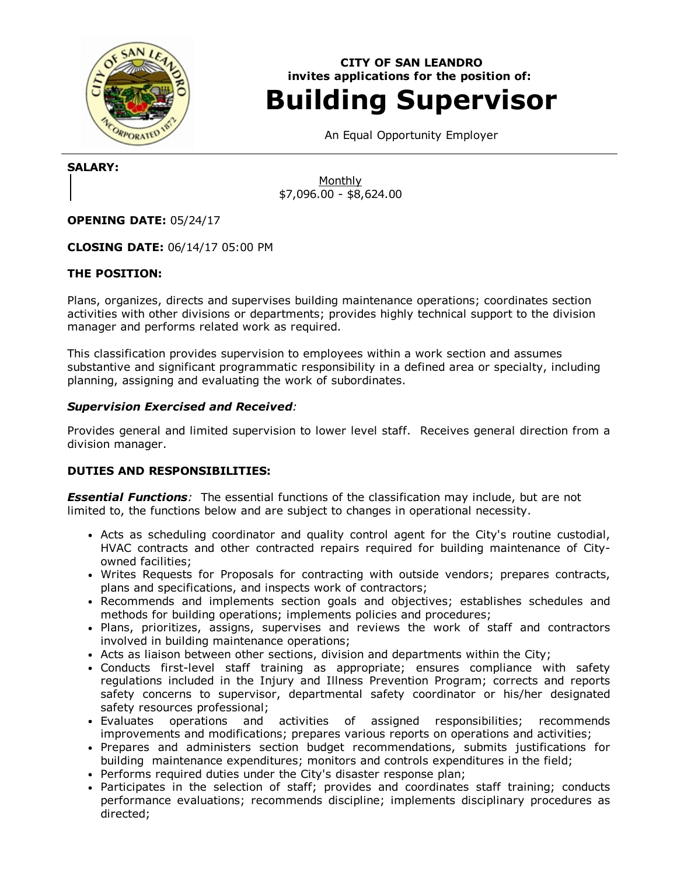

# CITY OF SAN LEANDRO invites applications for the position of: Building Supervisor

An Equal Opportunity Employer

SALARY:

Monthly \$7,096.00 - \$8,624.00

OPENING DATE: 05/24/17

CLOSING DATE: 06/14/17 05:00 PM

# THE POSITION:

Plans, organizes, directs and supervises building maintenance operations; coordinates section activities with other divisions or departments; provides highly technical support to the division manager and performs related work as required.

This classification provides supervision to employees within a work section and assumes substantive and significant programmatic responsibility in a defined area or specialty, including planning, assigning and evaluating the work of subordinates.

# Supervision Exercised and Received:

Provides general and limited supervision to lower level staff. Receives general direction from a division manager.

# DUTIES AND RESPONSIBILITIES:

**Essential Functions**: The essential functions of the classification may include, but are not limited to, the functions below and are subject to changes in operational necessity.

- Acts as scheduling coordinator and quality control agent for the City's routine custodial, HVAC contracts and other contracted repairs required for building maintenance of Cityowned facilities;
- Writes Requests for Proposals for contracting with outside vendors; prepares contracts, plans and specifications, and inspects work of contractors;
- Recommends and implements section goals and objectives; establishes schedules and methods for building operations; implements policies and procedures;
- Plans, prioritizes, assigns, supervises and reviews the work of staff and contractors involved in building maintenance operations;
- Acts as liaison between other sections, division and departments within the City;
- Conducts first-level staff training as appropriate; ensures compliance with safety regulations included in the Injury and Illness Prevention Program; corrects and reports safety concerns to supervisor, departmental safety coordinator or his/her designated safety resources professional;
- Evaluates operations and activities of assigned responsibilities; recommends improvements and modifications; prepares various reports on operations and activities;
- Prepares and administers section budget recommendations, submits justifications for building maintenance expenditures; monitors and controls expenditures in the field;
- Performs required duties under the City's disaster response plan;
- Participates in the selection of staff; provides and coordinates staff training; conducts performance evaluations; recommends discipline; implements disciplinary procedures as directed;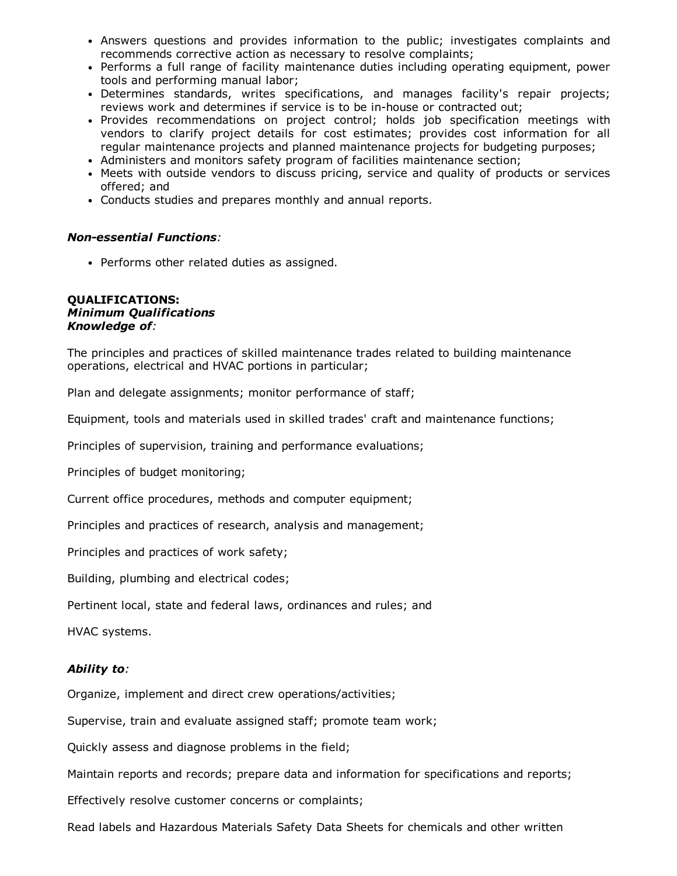- Answers questions and provides information to the public; investigates complaints and recommends corrective action as necessary to resolve complaints;
- Performs a full range of facility maintenance duties including operating equipment, power tools and performing manual labor;
- Determines standards, writes specifications, and manages facility's repair projects; reviews work and determines if service is to be in-house or contracted out;
- Provides recommendations on project control; holds job specification meetings with vendors to clarify project details for cost estimates; provides cost information for all regular maintenance projects and planned maintenance projects for budgeting purposes;
- Administers and monitors safety program of facilities maintenance section;
- Meets with outside vendors to discuss pricing, service and quality of products or services offered; and
- Conducts studies and prepares monthly and annual reports.

### Nonessential Functions:

• Performs other related duties as assigned.

#### QUALIFICATIONS: Minimum Qualifications Knowledge of:

The principles and practices of skilled maintenance trades related to building maintenance operations, electrical and HVAC portions in particular;

Plan and delegate assignments; monitor performance of staff;

Equipment, tools and materials used in skilled trades' craft and maintenance functions;

Principles of supervision, training and performance evaluations;

Principles of budget monitoring;

Current office procedures, methods and computer equipment;

Principles and practices of research, analysis and management;

Principles and practices of work safety;

Building, plumbing and electrical codes;

Pertinent local, state and federal laws, ordinances and rules; and

HVAC systems.

## Ability to:

Organize, implement and direct crew operations/activities;

Supervise, train and evaluate assigned staff; promote team work;

Quickly assess and diagnose problems in the field;

Maintain reports and records; prepare data and information for specifications and reports;

Effectively resolve customer concerns or complaints;

Read labels and Hazardous Materials Safety Data Sheets for chemicals and other written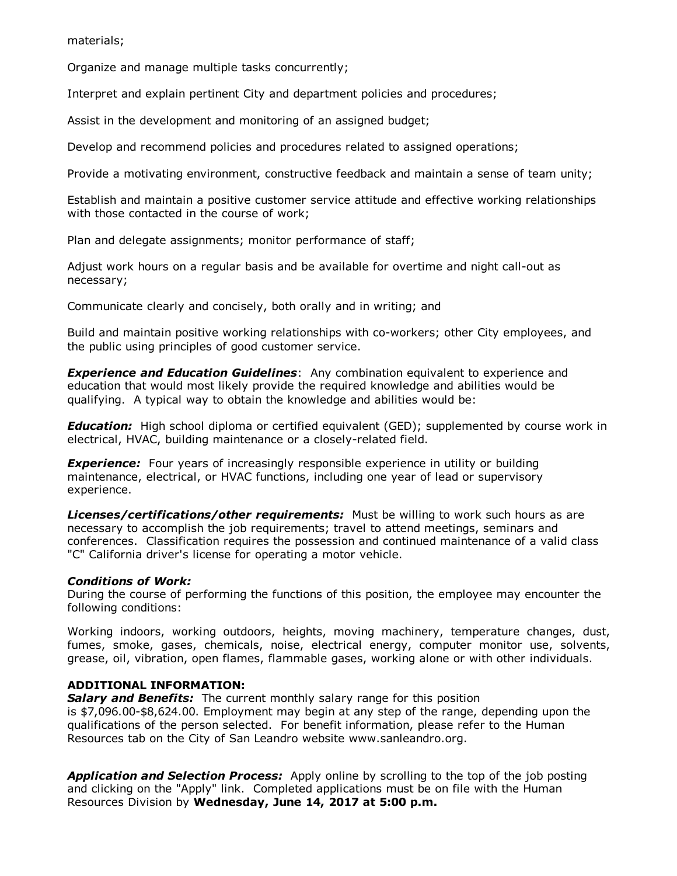materials;

Organize and manage multiple tasks concurrently;

Interpret and explain pertinent City and department policies and procedures;

Assist in the development and monitoring of an assigned budget;

Develop and recommend policies and procedures related to assigned operations;

Provide a motivating environment, constructive feedback and maintain a sense of team unity;

Establish and maintain a positive customer service attitude and effective working relationships with those contacted in the course of work;

Plan and delegate assignments; monitor performance of staff;

Adjust work hours on a regular basis and be available for overtime and night call-out as necessary;

Communicate clearly and concisely, both orally and in writing; and

Build and maintain positive working relationships with co-workers; other City employees, and the public using principles of good customer service.

**Experience and Education Guidelines:** Any combination equivalent to experience and education that would most likely provide the required knowledge and abilities would be qualifying. A typical way to obtain the knowledge and abilities would be:

**Education:** High school diploma or certified equivalent (GED); supplemented by course work in electrical, HVAC, building maintenance or a closely-related field.

**Experience:** Four years of increasingly responsible experience in utility or building maintenance, electrical, or HVAC functions, including one year of lead or supervisory experience.

Licenses/certifications/other requirements: Must be willing to work such hours as are necessary to accomplish the job requirements; travel to attend meetings, seminars and conferences. Classification requires the possession and continued maintenance of a valid class "C" California driver's license for operating a motor vehicle.

# Conditions of Work:

During the course of performing the functions of this position, the employee may encounter the following conditions:

Working indoors, working outdoors, heights, moving machinery, temperature changes, dust, fumes, smoke, gases, chemicals, noise, electrical energy, computer monitor use, solvents, grease, oil, vibration, open flames, flammable gases, working alone or with other individuals.

# ADDITIONAL INFORMATION:

Salary and Benefits: The current monthly salary range for this position is  $$7,096.00$$ -\$8,624.00. Employment may begin at any step of the range, depending upon the qualifications of the person selected. For benefit information, please refer to the Human Resources tab on the City of San Leandro website www.sanleandro.org.

**Application and Selection Process:** Apply online by scrolling to the top of the job posting and clicking on the "Apply" link. Completed applications must be on file with the Human Resources Division by Wednesday, June 14, 2017 at 5:00 p.m.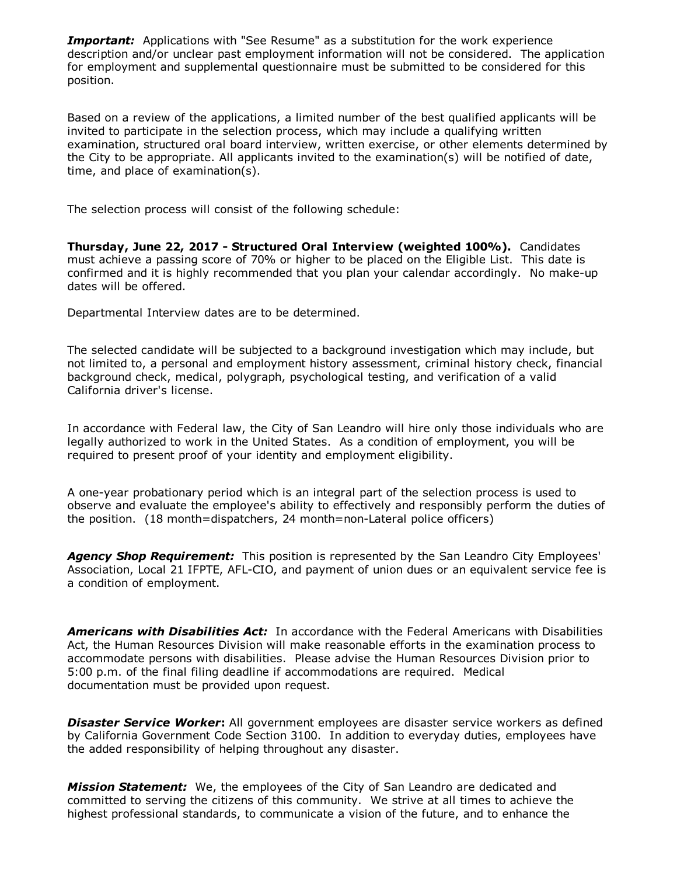**Important:** Applications with "See Resume" as a substitution for the work experience description and/or unclear past employment information will not be considered. The application for employment and supplemental questionnaire must be submitted to be considered for this position.

Based on a review of the applications, a limited number of the best qualified applicants will be invited to participate in the selection process, which may include a qualifying written examination, structured oral board interview, written exercise, or other elements determined by the City to be appropriate. All applicants invited to the examination(s) will be notified of date, time, and place of examination(s).

The selection process will consist of the following schedule:

Thursday, June 22, 2017 - Structured Oral Interview (weighted 100%). Candidates must achieve a passing score of 70% or higher to be placed on the Eligible List. This date is confirmed and it is highly recommended that you plan your calendar accordingly. No make-up dates will be offered.

Departmental Interview dates are to be determined.

The selected candidate will be subjected to a background investigation which may include, but not limited to, a personal and employment history assessment, criminal history check, financial background check, medical, polygraph, psychological testing, and verification of a valid California driver's license.

In accordance with Federal law, the City of San Leandro will hire only those individuals who are legally authorized to work in the United States. As a condition of employment, you will be required to present proof of your identity and employment eligibility.

A one-year probationary period which is an integral part of the selection process is used to observe and evaluate the employee's ability to effectively and responsibly perform the duties of the position. (18 month=dispatchers, 24 month=non-Lateral police officers)

Agency Shop Requirement: This position is represented by the San Leandro City Employees' Association, Local 21 IFPTE, AFL-CIO, and payment of union dues or an equivalent service fee is a condition of employment.

Americans with Disabilities Act: In accordance with the Federal Americans with Disabilities Act, the Human Resources Division will make reasonable efforts in the examination process to accommodate persons with disabilities. Please advise the Human Resources Division prior to 5:00 p.m. of the final filing deadline if accommodations are required. Medical documentation must be provided upon request.

**Disaster Service Worker:** All government employees are disaster service workers as defined by California Government Code Section 3100. In addition to everyday duties, employees have the added responsibility of helping throughout any disaster.

**Mission Statement:** We, the employees of the City of San Leandro are dedicated and committed to serving the citizens of this community. We strive at all times to achieve the highest professional standards, to communicate a vision of the future, and to enhance the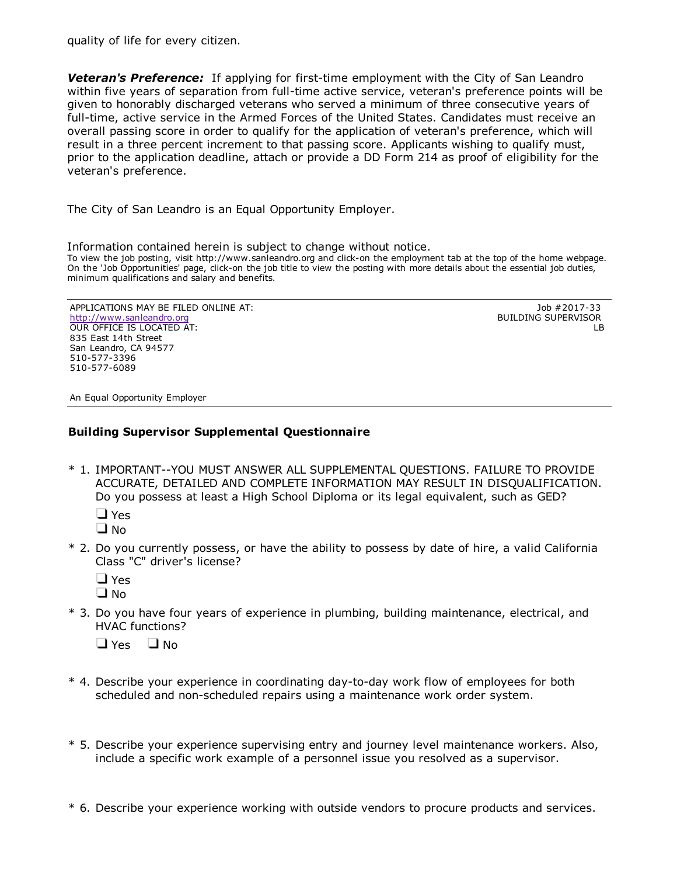quality of life for every citizen.

**Veteran's Preference:** If applying for first-time employment with the City of San Leandro within five years of separation from full-time active service, veteran's preference points will be given to honorably discharged veterans who served a minimum of three consecutive years of full-time, active service in the Armed Forces of the United States. Candidates must receive an overall passing score in order to qualify for the application of veteran's preference, which will result in a three percent increment to that passing score. Applicants wishing to qualify must, prior to the application deadline, attach or provide a DD Form 214 as proof of eligibility for the veteran's preference.

The City of San Leandro is an Equal Opportunity Employer.

Information contained herein is subject to change without notice. To view the job posting, visit http://www.sanleandro.org and click-on the employment tab at the top of the home webpage. On the 'Job Opportunities' page, click-on the job title to view the posting with more details about the essential job duties, minimum qualifications and salary and benefits.

APPLICATIONS MAY BE FILED ONLINE AT: [http://www.sanleandro.org](http://www.sanleandro.org/) OUR OFFICE IS LOCATED AT: 835 East 14th Street San Leandro, CA 94577 510-577-3396 510-577-6089

Job #2017-33 BUILDING SUPERVISOR LB

An Equal Opportunity Employer

# Building Supervisor Supplemental Questionnaire

\* 1. IMPORTANT--YOU MUST ANSWER ALL SUPPLEMENTAL OUESTIONS. FAILURE TO PROVIDE ACCURATE, DETAILED AND COMPLETE INFORMATION MAY RESULT IN DISQUALIFICATION. Do you possess at least a High School Diploma or its legal equivalent, such as GED?

 $\Box$  Yes

 $\Box$  No.

\* 2. Do you currently possess, or have the ability to possess by date of hire, a valid California Class "C" driver's license?

| Ξ           |
|-------------|
| J<br>m<br>n |

\* 3. Do you have four years of experience in plumbing, building maintenance, electrical, and HVAC functions?

 $\Box$  Yes  $\Box$  No

- \* 4. Describe your experience in coordinating day-to-day work flow of employees for both scheduled and non-scheduled repairs using a maintenance work order system.
- \* 5. Describe your experience supervising entry and journey level maintenance workers. Also, include a specific work example of a personnel issue you resolved as a supervisor.
- \* 6. Describe your experience working with outside vendors to procure products and services.